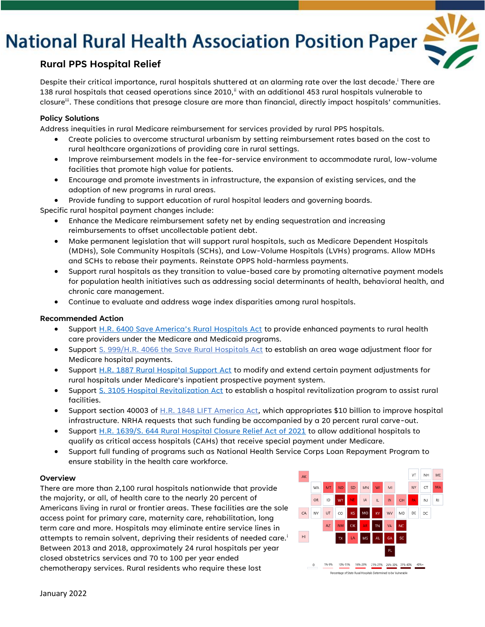# **National Rural Health Association Position Paper**



### **Rural PPS Hospital Relief**

Despite their critical importance, rural hospitals shuttered at an alarming rate over the last decade.<sup>i</sup> There are 138 rural hospitals that ceased operations since 2010, $^{\parallel}$  with an additional 453 rural hospitals vulnerable to closure". These conditions that presage closure are more than financial, directly impact hospitals' communities.

### **Policy Solutions**

Address inequities in rural Medicare reimbursement for services provided by rural PPS hospitals.

- Create policies to overcome structural urbanism by setting reimbursement rates based on the cost to rural healthcare organizations of providing care in rural settings.
- Improve reimbursement models in the fee-for-service environment to accommodate rural, low-volume facilities that promote high value for patients.
- Encourage and promote investments in infrastructure, the expansion of existing services, and the adoption of new programs in rural areas.

• Provide funding to support education of rural hospital leaders and governing boards.

Specific rural hospital payment changes include:

- Enhance the Medicare reimbursement safety net by ending sequestration and increasing reimbursements to offset uncollectable patient debt.
- Make permanent legislation that will support rural hospitals, such as Medicare Dependent Hospitals (MDHs), Sole Community Hospitals (SCHs), and Low-Volume Hospitals (LVHs) programs. Allow MDHs and SCHs to rebase their payments. Reinstate OPPS hold-harmless payments.
- Support rural hospitals as they transition to value-based care by promoting alternative payment models for population health initiatives such as addressing social determinants of health, behavioral health, and chronic care management.
- Continue to evaluate and address wage index disparities among rural hospitals.

### **Recommended Action**

- Support [H.R. 6400 Save America's Rural Hospitals Act](https://www.congress.gov/bill/117th-congress/house-bill/6400) to provide enhanced payments to rural health care providers under the Medicare and Medicaid programs.
- Support S. 999/H.R. 4066 the Save Rural Hospitals Act to establish an area wage adjustment floor for Medicare hospital payments.
- Support [H.R. 1887 Rural Hospital Support Act](https://www.congress.gov/bill/117th-congress/house-bill/1887) to modify and extend certain payment adjustments for rural hospitals under Medicare's inpatient prospective payment system.
- Support [S. 3105 Hospital Revitalization Act](https://www.congress.gov/bill/117th-congress/senate-bill/3105) to establish a hospital revitalization program to assist rural facilities.
- Support section 40003 of H.R. 1848 LIFT America Act, which appropriates \$10 billion to improve hospital infrastructure. NRHA requests that such funding be accompanied by a 20 percent rural carve-out.
- Support [H.R. 1639/S. 644 Rural Hospital Closure Relief Act of 2021](https://www.congress.gov/bill/117th-congress/senate-bill/644/text?q=%7B%22search%22%3A%5B%22s.+644%22%2C%22s.%22%2C%22644%22%5D%7D&r=4&s=10) to allow additional hospitals to qualify as critical access hospitals (CAHs) that receive special payment under Medicare.
- Support full funding of programs such as National Health Service Corps Loan Repayment Program to ensure stability in the health care workforce.

#### **Overview**

There are more than 2,100 rural hospitals nationwide that provide the majority, or all, of health care to the nearly 20 percent of Americans living in rural or frontier areas. These facilities are the sole access point for primary care, maternity care, rehabilitation, long term care and more. Hospitals may eliminate entire service lines in attempts to remain solvent, depriving their residents of needed care.<sup>i</sup> Between 2013 and 2018, approximately 24 rural hospitals per year closed obstetrics services and 70 to 100 per year ended chemotherapy services. Rural residents who require these lost

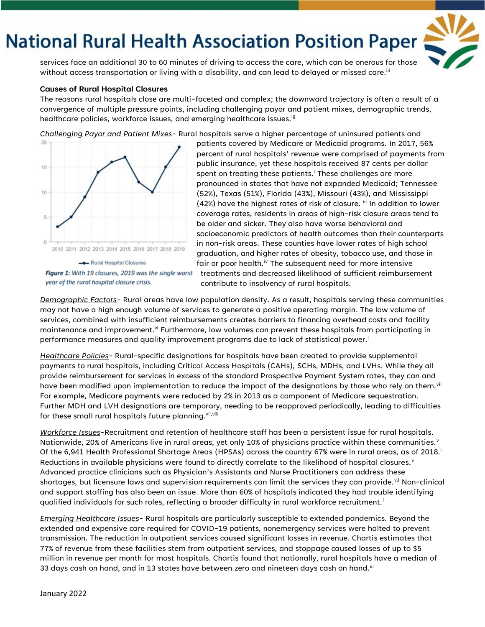# **National Rural Health Association Position Paper**

services face an additional 30 to 60 minutes of driving to access the care, which can be onerous for those without access transportation or living with a disability, and can lead to delayed or missed care.<sup>iii</sup>

#### **Causes of Rural Hospital Closures**

The reasons rural hospitals close are multi-faceted and complex; the downward trajectory is often a result of a convergence of multiple pressure points, including challenging payor and patient mixes, demographic trends, healthcare policies, workforce issues, and emerging healthcare issues.<sup>iii</sup>

*Challenging Payor and Patient Mixes-* Rural hospitals serve a higher percentage of uninsured patients and



patients covered by Medicare or Medicaid programs. In 2017, 56% percent of rural hospitals' revenue were comprised of payments from public insurance, yet these hospitals received 87 cents per dollar spent on treating these patients.<sup>i</sup> These challenges are more pronounced in states that have not expanded Medicaid; Tennessee (52%), Texas (51%), Florida (43%), Missouri (43%), and Mississippi (42%) have the highest rates of risk of closure.  $^{\mathrm{iii}}$  In addition to lower coverage rates, residents in areas of high-risk closure areas tend to be older and sicker. They also have worse behavioral and socioeconomic predictors of health outcomes than their counterparts in non-risk areas. These counties have lower rates of high school graduation, and higher rates of obesity, tobacco use, and those in fair or poor health.<sup>iv</sup> The subsequent need for more intensive treatments and decreased likelihood of sufficient reimbursement

contribute to insolvency of rural hospitals. *Demographic Factors-* Rural areas have low population density. As a result, hospitals serving these communities

may not have a high enough volume of services to generate a positive operating margin. The low volume of services, combined with insufficient reimbursements creates barriers to financing overhead costs and facility maintenance and improvement.<sup>vi</sup> Furthermore, low volumes can prevent these hospitals from participating in performance measures and quality improvement programs due to lack of statistical power.<sup>i</sup>

*Healthcare Policies-* Rural-specific designations for hospitals have been created to provide supplemental payments to rural hospitals, including Critical Access Hospitals (CAHs), SCHs, MDHs, and LVHs. While they all provide reimbursement for services in excess of the standard Prospective Payment System rates, they can and have been modified upon implementation to reduce the impact of the designations by those who rely on them.<sup>vii</sup> For example, Medicare payments were reduced by 2% in 2013 as a component of Medicare sequestration. Further MDH and LVH designations are temporary, needing to be reapproved periodically, leading to difficulties for these small rural hospitals future planning. Vii, Viii

*Workforce Issues-*Recruitment and retention of healthcare staff has been a persistent issue for rural hospitals. Nationwide, 20% of Americans live in rural areas, yet only 10% of physicians practice within these communities.<sup>v</sup> Of the 6,941 Health Professional Shortage Areas (HPSAs) across the country 67% were in rural areas, as of 2018.<sup>i</sup> Reductions in available physicians were found to directly correlate to the likelihood of hospital closures. $v$ Advanced practice clinicians such as Physician's Assistants and Nurse Practitioners can address these shortages, but licensure laws and supervision requirements can limit the services they can provide.<sup>v,i</sup> Non-clinical and support staffing has also been an issue. More than 60% of hospitals indicated they had trouble identifying qualified individuals for such roles, reflecting a broader difficulty in rural workforce recruitment.<sup>i</sup>

*Emerging Healthcare Issues*- Rural hospitals are particularly susceptible to extended pandemics. Beyond the extended and expensive care required for COVID-19 patients, nonemergency services were halted to prevent transmission. The reduction in outpatient services caused significant losses in revenue. Chartis estimates that 77% of revenue from these facilities stem from outpatient services, and stoppage caused losses of up to \$5 million in revenue per month for most hospitals. Chartis found that nationally, rural hospitals have a median of 33 days cash on hand, and in 13 states have between zero and nineteen days cash on hand. $^{\text{iii}}$